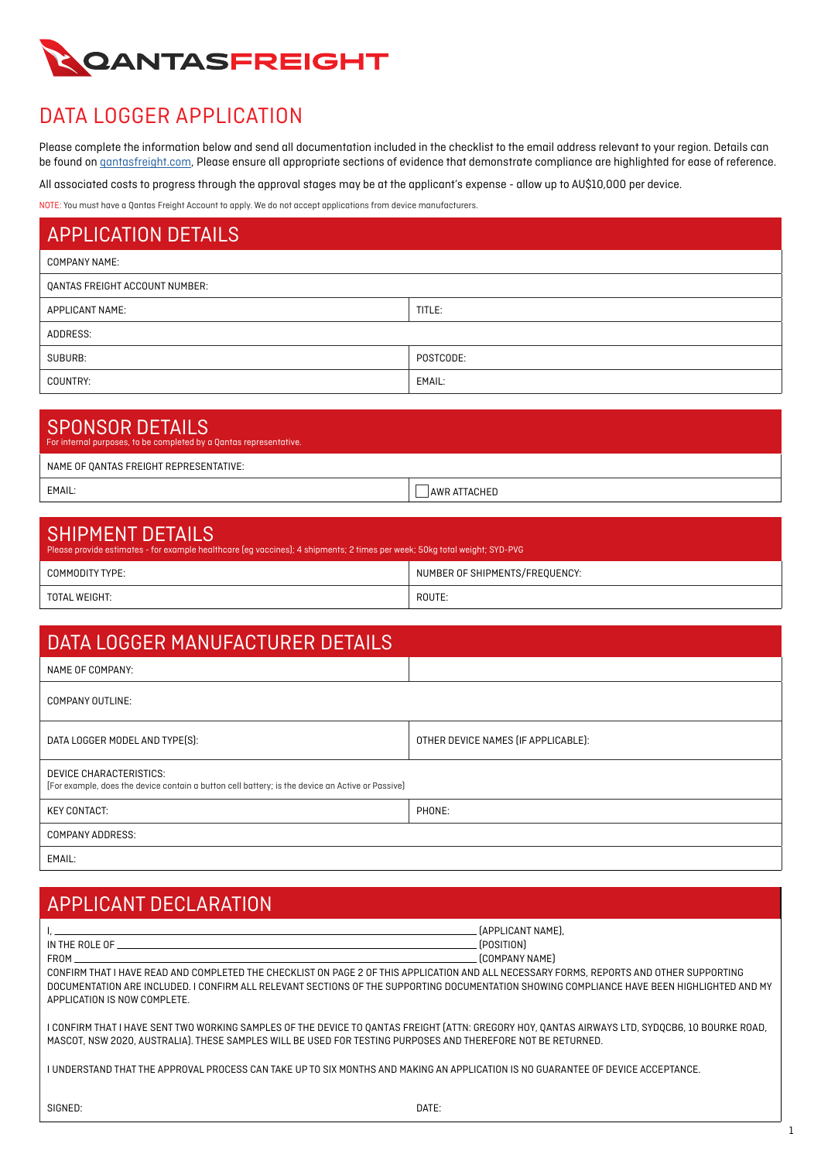

## DATA LOGGER APPLICATION

Please complete the information below and send all documentation included in the checklist to the email address relevant to your region. Details can be found on **gantasfreight.com**, Please ensure all appropriate sections of evidence that demonstrate compliance are highlighted for ease of reference.

All associated costs to progress through the approval stages may be at the applicant's expense - allow up to AU\$10,000 per device.

NOTE: You must have a Qantas Freight Account to apply. We do not accept applications from device manufacturers.

| <b>APPLICATION DETAILS</b>     |           |  |
|--------------------------------|-----------|--|
| <b>COMPANY NAME:</b>           |           |  |
| QANTAS FREIGHT ACCOUNT NUMBER: |           |  |
| APPLICANT NAME:                | TITLE:    |  |
| ADDRESS:                       |           |  |
| SUBURB:                        | POSTCODE: |  |
| COUNTRY:                       | EMAIL:    |  |

# SPONSOR DETAILS

| <b>UI UNUUN DETAILU</b><br>For internal purposes, to be completed by a Qantas representative. |              |
|-----------------------------------------------------------------------------------------------|--------------|
| NAME OF QANTAS FREIGHT REPRESENTATIVE:                                                        |              |
| EMAIL:                                                                                        | AWR ATTACHED |

| <b>SHIPMENT DETAILS</b><br>Please provide estimates - for example healthcare (eg vaccines); 4 shipments; 2 times per week; 50kg total weight; SYD-PVG |                                |  |
|-------------------------------------------------------------------------------------------------------------------------------------------------------|--------------------------------|--|
| COMMODITY TYPE:                                                                                                                                       | NUMBER OF SHIPMENTS/FREQUENCY: |  |
| TOTAL WEIGHT:                                                                                                                                         | ROUTE:                         |  |

| DATA LOGGER MANUFACTURER DETAILS                                                                                            |                                     |
|-----------------------------------------------------------------------------------------------------------------------------|-------------------------------------|
| NAME OF COMPANY:                                                                                                            |                                     |
| <b>COMPANY OUTLINE:</b>                                                                                                     |                                     |
| DATA LOGGER MODEL AND TYPE(S):                                                                                              | OTHER DEVICE NAMES (IF APPLICABLE): |
| DEVICE CHARACTERISTICS:<br>[For example, does the device contain a button cell battery; is the device an Active or Passive] |                                     |
| <b>KEY CONTACT:</b>                                                                                                         | PHONE:                              |
| <b>COMPANY ADDRESS:</b>                                                                                                     |                                     |
| EMAIL:                                                                                                                      |                                     |

# APPLICANT DECLARATION

| and the control of the control of the control of the control of the control of the control of the control of the<br>FROM<br><u> 1989 - Johann Stoff, deutscher Stoff, der Stoff, der Stoff, der Stoff, der Stoff, der Stoff, der Stoff, der S</u><br>CONFIRM THAT I HAVE READ AND COMPLETED THE CHECKLIST ON PAGE 2 OF THIS APPLICATION AND ALL NECESSARY FORMS. REPORTS AND OTHER SUPPORTING<br>APPLICATION IS NOW COMPLETE. | [APPLICANT NAME].<br>[POSITION]<br>[COMPANY NAME]<br>DOCUMENTATION ARE INCLUDED. I CONFIRM ALL RELEVANT SECTIONS OF THE SUPPORTING DOCUMENTATION SHOWING COMPLIANCE HAVE BEEN HIGHLIGHTED AND MY |  |
|-------------------------------------------------------------------------------------------------------------------------------------------------------------------------------------------------------------------------------------------------------------------------------------------------------------------------------------------------------------------------------------------------------------------------------|--------------------------------------------------------------------------------------------------------------------------------------------------------------------------------------------------|--|
| I CONFIRM THAT I HAVE SENT TWO WORKING SAMPLES OF THE DEVICE TO QANTAS FREIGHT (ATTN: GREGORY HOY, QANTAS AIRWAYS LTD, SYDQCB6, 10 BOURKE ROAD,<br>MASCOT, NSW 2020, AUSTRALIA). THESE SAMPLES WILL BE USED FOR TESTING PURPOSES AND THEREFORE NOT BE RETURNED.                                                                                                                                                               |                                                                                                                                                                                                  |  |
| I UNDERSTAND THAT THE APPROVAL PROCESS CAN TAKE UP TO SIX MONTHS AND MAKING AN APPLICATION IS NO GUARANTEE OF DEVICE ACCEPTANCE.                                                                                                                                                                                                                                                                                              |                                                                                                                                                                                                  |  |
| SIGNED:                                                                                                                                                                                                                                                                                                                                                                                                                       | DATE:                                                                                                                                                                                            |  |